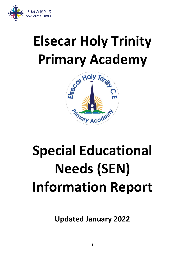

# **Elsecar Holy Trinity**



# **Special Educational Needs (SEN) Information Report**

**Updated January 2022**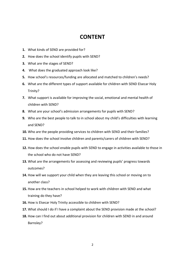# **CONTENT**

- **1.** What kinds of SEND are provided for?
- **2.** How does the school identify pupils with SEND?
- **3.** What are the stages of SEND?
- **4.** What does the graduated approach look like?
- **5.** How school's resources/funding are allocated and matched to children's needs?
- **6.** What are the different types of support available for children with SEND Elsecar Holy Trinity?
- **7.** What support is available for improving the social, emotional and mental health of children with SEND?
- **8.** What are your school's admission arrangements for pupils with SEND?
- **9.** Who are the best people to talk to in school about my child's difficulties with learning and SEND?
- **10.** Who are the people providing services to children with SEND and their families?
- **11.** How does the school involve children and parents/carers of children with SEND?
- **12.** How does the school enable pupils with SEND to engage in activities available to those in the school who do not have SEND?
- **13.** What are the arrangements for assessing and reviewing pupils' progress towards outcomes?
- **14.** How will we support your child when they are leaving this school or moving on to another class?
- **15.** How are the teachers in school helped to work with children with SEND and what training do they have?
- **16.** How is Elsecar Holy Trinity accessible to children with SEND?
- **17.** What should I do if I have a complaint about the SEND provision made at the school?
- **18.** How can I find out about additional provision for children with SEND in and around Barnsley?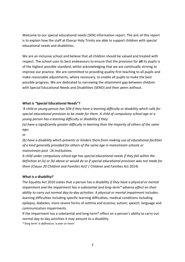Welcome to our special educational needs (SEN) information report. The aim of this report is to explain how the staff at Elsecar Holy Trinity are able to support children with special educational needs and disabilities.

We are an inclusive school and believe that all children should be valued and treated with respect. The school uses its best endeavours to ensure that the provision for **all** its pupils is of the highest possible standard, whilst acknowledging that we are continually striving to improve our practice. We are committed to providing quality first teaching to all pupils and make reasonable adjustments, where necessary, to enable all pupils to make the best possible progress. We are dedicated to narrowing the attainment gap between children with Special Educational Needs and Disabilities (SEND) and their peers without.

#### **What is "Special Educational Needs"?**

*'A child or young person has SEN if they have a learning difficulty or disability which calls for special educational provision to be made for them. A child of compulsory school age or a young person has a learning difficulty or disability if they:* 

*(a) have a significantly greater difficulty in learning than the majority of others of the same age;* 

*or* 

*(b) have a disability which prevents or hinders them from making use of educational facilities of a kind generally provided for others of the same age in mainstream schools or mainstream post -16 institutions.* 

*A child under compulsory school age has special educational needs if they fall within the definition at (a) or (b) above or would do so if special educational provision was not made for them (Clause 20 Children and Families Act)' (* Children and Families Act 2014)

#### **What is a disability?**

The Equality Act 2010 states that a person has a disability *if they have a physical or mental impairment and the impairment has a substantial and long-term\* adverse effect on their ability to carry out normal day-to-day activities.* A *physical or mental impairment* includes: learning difficulties including specific learning difficulties; medical conditions including epilepsy, diabetes, more severe forms of asthma and eczema; autism; speech, language and communication impairments.

If the impairment has a substantial and long-term\* effect on a person's ability to carry out normal day-to day activities it may amount to a disability.

*\*'long term' is defined as 'a year or more'*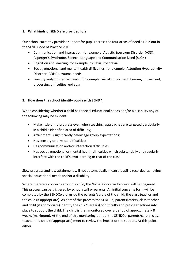# **1. What kinds of SEND are provided for?**

Our school currently provides support for pupils across the four areas of need as laid out in the SEND Code of Practice 2015.

- Communication and interaction, for example, Autistic Spectrum Disorder (ASD), Asperger's Syndrome, Speech, Language and Communication Need (SLCN)
- Cognition and learning, for example, dyslexia, dyspraxia.
- Social, emotional and mental health difficulties, for example, Attention Hyperactivity Disorder (ADHD), trauma needs
- Sensory and/or physical needs, for example, visual impairment, hearing impairment, processing difficulties, epilepsy.

# **2. How does the school identify pupils with SEND?**

When considering whether a child has special educational needs and/or a disability any of the following may be evident:

- Make little or no progress even when teaching approaches are targeted particularly in a child's identified area of difficulty;
- Attainment is significantly below age group expectations;
- Has sensory or physical difficulties;
- Has communication and/or interaction difficulties;
- Has social, emotional or mental health difficulties which substantially and regularly interfere with the child's own learning or that of the class

Slow progress and low attainment will not automatically mean a pupil is recorded as having special educational needs and/or a disability.

Where there are concerns around a child, the 'Initial Concerns Process' will be triggered. This process can be triggered by school staff or parents. An initial concerns form will be completed by the SENDCo alongside the parents/carers of the child, the class teacher and the child (if appropriate). As part of this process the SENDCo, parents/carers, class teacher and child (if appropriate) identify the child's area(s) of difficulty and put clear actions into place to support the child. The child is then monitored over a period of approximately 8 weeks (maximum). At the end of this monitoring period, the SENDCo, parents/carers, class teacher and child (if appropriate) meet to review the impact of the support. At this point, either: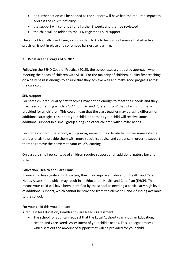- no further action will be needed as the support will have had the required impact to address the child's difficulty
- the support will continue for a further 8 weeks and then be reviewed
- the child will be added to the SEN register as SEN support

The aim of formally identifying a child with SEND is to help school ensure that effective provision is put in place and so remove barriers to learning.

# **3. What are the stages of SEND?**

Following the SEND Code of Practice (2015), the school uses a graduated approach when meeting the needs of children with SEND. For the majority of children, quality first teaching on a daily basis is enough to ensure that they achieve well and make good progress across the curriculum.

#### **SEN support**

For some children, quality first teaching may not be enough to meet their needs and they may need something which is *'additional to and different from'* that which is normally provided for all children. This could mean that the class teacher may be using different or additional strategies to support your child, or perhaps your child will receive some additional support in a small group alongside other children with similar needs.

For some children, the school, with your agreement, may decide to involve some external professionals to provide them with more specialist advice and guidance in order to support them to remove the barriers to your child's learning.

Only a very small percentage of children require support of an additional nature beyond this.

#### **Education, Health and Care Plans**

If your child has significant difficulties, they may require an Education, Health and Care Needs Assessment which may result in an Education, Health and Care Plan (EHCP). This means your child will have been identified by the school as needing a particularly high level of additional support, which cannot be provided from the element 1 and 2 funding available to the school.

#### For your child this would mean:

A request for Education, Health and Care Needs Assessment

• The school (or you) can request that the Local Authority carry out an Education, Health and Care Needs Assessment of your child's needs. This is a legal process which sets out the amount of support that will be provided for your child.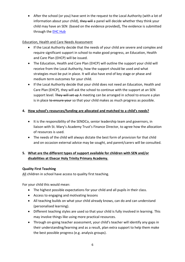• After the school (or you) have sent in the request to the Local Authority (with a lot of information about your child), they will a panel will decide whether they think your child may have an SEN (based on the evidence provided), The evidence is submitted through the **EHC Hub** 

# Education, Health and Care Needs Assessment

- If the Local Authority decide that the needs of your child are severe and complex and require significant support in school to make good progress, an Education, Health and Care Plan (EHCP) will be issued.
- The Education, Health and Care Plan (EHCP) will outline the support your child will receive from the Local Authority, how the support should be used and what strategies must be put in place. It will also have end of key stage or phase and medium term outcomes for your child.
- If the Local Authority decide that your child does not need an Education, Health and Care Plan (EHCP), they will ask the school to continue with the support at an SEN support level. They will set up A meeting can be arranged in school to ensure a plan is in place to ensure your so that your child makes as much progress as possible.

# **4. How school's resources/funding are allocated and matched to a child's needs?**

- It is the responsibility of the SENDCo, senior leadership team and governors, in liaison with St. Mary's Academy Trust's Finance Director, to agree how the allocation of resources is used.
- The needs of the child will always dictate the best form of provision for that child and on occasion external advice may be sought, and parent/carers will be consulted.

# **5. What are the different types of support available for children with SEN and/or disabilities at Elsecar Holy Trinity Primary Academy.**

# **Quality First Teaching**

All children in school have access to quality first teaching.

For your child this would mean:

- The highest possible expectations for your child and all pupils in their class.
- Access to engaging and motivating lessons
- All teaching builds on what your child already knows, can do and can understand (personalised learning).
- Different teaching styles are used so that your child is fully involved in learning. This may involve things like using more practical resources.
- Through on-going teacher assessment, your child's teacher will identify any gaps in their understanding/learning and as a result, plan extra support to help them make the best possible progress (e.g. analysis groups).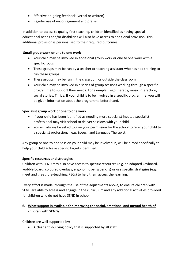- Effective on-going feedback (verbal or written)
- Regular use of encouragement and praise

In addition to access to quality first teaching, children identified as having special educational needs and/or disabilities will also have access to additional provision. This additional provision is personalised to their required outcomes.

#### **Small group work or one to one work**

- Your child may be involved in additional group work or one to one work with a specific focus.
- These groups may be run by a teacher or teaching assistant who has had training to run these groups.
- These groups may be run in the classroom or outside the classroom.
- Your child may be involved in a series of group sessions working through a specific programme to support their needs. For example, Lego therapy, music interaction, social stories, Thrive. If your child is to be involved in a specific programme, you will be given information about the programme beforehand.

# **Specialist group work or one to one work**

- If your child has been identified as needing more specialist input, a specialist professional may visit school to deliver sessions with your child.
- You will always be asked to give your permission for the school to refer your child to a specialist professional, e.g. Speech and Language Therapist.

Any group or one to one session your child may be involved in, will be aimed specifically to help your child achieve specific targets identified.

# **Specific resources and strategies**

Children with SEND may also have access to specific resources (e.g. an adapted keyboard, wobble board, coloured overlays, ergonomic pens/pencils) or use specific strategies (e.g. meet and greet, pre-teaching, PECs) to help them access the learning.

Every effort is made, through the use of the adjustments above, to ensure children with SEND are able to access and engage in the curriculum and any additional activities provided for children who do not have SEND in school.

# **6. What support is available for improving the social, emotional and mental health of children with SEND?**

Children are well supported by:

• A clear anti-bullying policy that is supported by all staff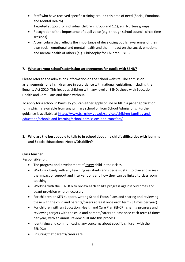- Staff who have received specific training around this area of need (Social, Emotional and Mental Health)
	- Targeted support for individual children (group and 1:1), e.g. Nurture groups
- Recognition of the importance of pupil voice (e.g. through school council, circle time sessions)
- A curriculum that reflects the importance of developing pupils' awareness of their own social, emotional and mental health and their impact on the social, emotional and mental health of others (e.g. Philosophy for Children (P4C)).

# **7. What are your school's admission arrangements for pupils with SEND?**

Please refer to the admissions information on the school website. The admission arrangements for all children are in accordance with national legislation, including the Equality Act 2010. This includes children with any level of SEND; those with Education, Health and Care Plans and those without.

To apply for a school in Barnsley you can either [apply online](https://education.barnsley.gov.uk/ccsenterprise_admissionsonline_live/) or fill in a paper application form which is available from any primary school or from School Admissions. Further guidance is available at [https://www.barnsley.gov.uk/services/children-families-and](https://www.barnsley.gov.uk/services/children-families-and-education/schools-and-learning/school-admissions-and-transfers/)[education/schools-and-learning/school-admissions-and-transfers/](https://www.barnsley.gov.uk/services/children-families-and-education/schools-and-learning/school-admissions-and-transfers/)

**8. Who are the best people to talk to in school about my child's difficulties with learning and Special Educational Needs/Disability?** 

# **Class teacher**

Responsible for:

- The progress and development of every child in their class
- Working closely with any teaching assistants and specialist staff to plan and assess the impact of support and interventions and how they can be linked to classroom teaching
- Working with the SENDCo to review each child's progress against outcomes and adapt provision where necessary
- For children on SEN support, writing School Focus Plans and sharing and reviewing these with the child and parents/carers at least once each term (3 times per year).
- For children with an Education, Health and Care Plan (EHCP), sharing progress and reviewing targets with the child and parents/carers at least once each term (3 times per year) with an annual review built into this process
- Identifying and communicating any concerns about specific children with the SENDCo
- Ensuring that parents/carers are: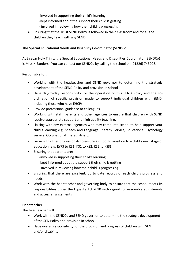-involved in supporting their child's learning

- -kept informed about the support their child is getting
- involved in reviewing how their child is progressing
- Ensuring that the Trust SEND Policy is followed in their classroom and for all the children they teach with any SEND.

# **The Special Educational Needs and Disability Co-ordinator (SENDCo)**

At Elsecar Holy Trinity the Special Educational Needs and Disabilities Coordinator (SENDCo) is Miss H Sanders . You can contact our SENDCo by calling the school on (01226) 743008.

Responsible for:

- Working with the headteacher and SEND governor to determine the strategic development of the SEND Policy and provision in school
- Have day-to-day responsibility for the operation of this SEND Policy and the coordination of specific provision made to support individual children with SEND, including those who have EHCPs.
- Provide professional guidance to colleagues
- Working with staff, parents and other agencies to ensure that children with SEND receive appropriate support and high quality teaching.
- Liaising with any external agencies who may come into school to help support your child's learning e.g. Speech and Language Therapy Service, Educational Psychology Service, Occupational Therapists etc.
- Liaise with other professionals to ensure a smooth transition to a child's next stage of education (e.g. EYFS to KS1, KS1 to KS2, KS2 to KS3)
- Ensuring that parents are:
	- -involved in supporting their child's learning
	- -kept informed about the support their child is getting
	- involved in reviewing how their child is progressing
- Ensuring that there are excellent, up to date records of each child's progress and needs.
- Work with the headteacher and governing body to ensure that the school meets its responsibilities under the Equality Act 2010 with regard to reasonable adjustments and access arrangements

# **Headteacher**

The headteacher will:

- Work with the SENDCo and SEND governor to determine the strategic development of the SEN Policy and provision in school
- Have overall responsibility for the provision and progress of children with SEN and/or disability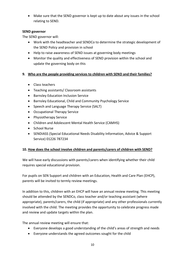• Make sure that the SEND governor is kept up to date about any issues in the school relating to SEND.

### **SEND governor**

The SEND governor will:

- Work with the headteacher and SENDCo to determine the strategic development of the SEND Policy and provision in school
- Help to raise awareness of SEND issues at governing body meetings
- Monitor the quality and effectiveness of SEND provision within the school and update the governing body on this

#### **9. Who are the people providing services to children with SEND and their families?**

- Class teachers
- Teaching assistants/ Classroom assistants
- Barnsley Education Inclusion Service
- Barnsley Educational, Child and Community Psychology Service
- Speech and Language Therapy Service (SALT)
- Occupational Therapy Service
- Physiotherapy Service
- Children and Adolescent Mental Health Service (CAMHS)
- School Nurse
- SENDIASS (Special Educational Needs Disability Information, Advice & Support Service) 01226 787234

# **10. How does the school involve children and parents/carers of children with SEND?**

We will have early discussions with parents/carers when identifying whether their child requires special educational provision.

For pupils on SEN Support and children with an Education, Health and Care Plan (EHCP), parents will be invited to termly review meetings.

In addition to this, children with an EHCP will have an annual review meeting. This meeting should be attended by the SENDCo, class teacher and/or teaching assistant (where appropriate), parents/carers, the child (if appropriate) and any other professionals currently involved with the child. The meeting provides the opportunity to celebrate progress made and review and update targets within the plan.

The annual review meeting will ensure that:

- Everyone develops a good understanding of the child's areas of strength and needs
- Everyone understands the agreed outcomes sought for the child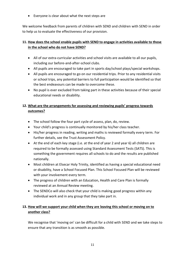• Everyone is clear about what the next steps are

We welcome feedback from parents of children with SEND and children with SEND in order to help us to evaluate the effectiveness of our provision.

# **11. How does the school enable pupils with SEND to engage in activities available to those in the school who do not have SEND?**

- All of our extra-curricular activities and school visits are available to all our pupils, including our before-and-after-school clubs.
- All pupils are encouraged to take part in sports day/school plays/special workshops.
- All pupils are encouraged to go on our residential trips. Prior to any residential visits or school trips, any potential barriers to full participation would be identified so that the best endeavours can be made to overcome these.
- No pupil is ever excluded from taking part in these activities because of their special educational needs or disability.

# **12. What are the arrangements for assessing and reviewing pupils' progress towards outcomes?**

- The school follow the four part cycle of assess, plan, do, review.
- Your child's progress is continually monitored by his/her class teacher.
- His/her progress in reading, writing and maths is reviewed formally every term. For further details, see the Trust Assessment Policy.
- At the end of each key stage (i.e. at the end of year 2 and year 6) all children are required to be formally assessed using Standard Assessment Tests (SATS). This is something the government requires all schools to do and the results are published nationally.
- Most children at Elsecar Holy Trinity, identified as having a special educational need or disability, have a School Focused Plan. This School Focused Plan will be reviewed with your involvement every term.
- The progress of children with an Education, Health and Care Plan is formally reviewed at an Annual Review meeting.
- The SENDCo will also check that your child is making good progress within any individual work and in any group that they take part in.

# **13. How will we support your child when they are leaving this school or moving on to another class?**

We recognise that 'moving on' can be difficult for a child with SEND and we take steps to ensure that any transition is as smooth as possible.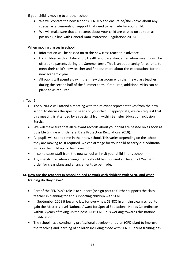If your child is moving to another school:

- We will contact the new school's SENDCo and ensure he/she knows about any special arrangements or support that need to be made for your child.
- We will make sure that all records about your child are passed on as soon as possible (in line with General Data Protection Regulations 2018).

When moving classes in school:

- Information will be passed on to the new class teacher in advance
- For children with an Education, Health and Care Plan, a transition meeting will be offered to parents during the Summer term. This is an opportunity for parents to meet their child's new teacher and find out more about the expectations for the new academic year.
- All pupils will spend a day in their new classroom with their new class teacher during the second half of the Summer term. If required, additional visits can be planned as required.

In Year 6:

- The SENDCo will attend a meeting with the relevant representatives from the new school to discuss the specific needs of your child. If appropriate, we can request that this meeting is attended by a specialist from within Barnsley Education Inclusion Service.
- We will make sure that all relevant records about your child are passed on as soon as possible (in line with General Data Protection Regulations 2018).
- All pupils will spend time in their new school. This varies depending on the school they are moving to. If required, we can arrange for your child to carry out additional visits in the build up to their transition.
- In some cases staff from the new school will visit your child in this school.
- Any specific transition arrangements should be discussed at the end of Year 4 in order for clear plans and arrangements to be made.

# **14. How are the teachers in school helped to work with children with SEND and what training do they have?**

- Part of the SENDCo's role is to support (or sign post to further support) the class teacher in planning for and supporting children with SEND.
- In [September 2009 it became law](http://www.legislation.gov.uk/uksi/2009/1387/made?view=plain) for every new SENCO in a mainstream school to gain the Master's level National Award for Special Educational Needs Co-ordinator within 3 years of taking up the post. Our SENDCo is working towards this national qualification.
- The school has a continuing professional development plan (CPD plan) to improve the teaching and learning of children including those with SEND. Recent training has